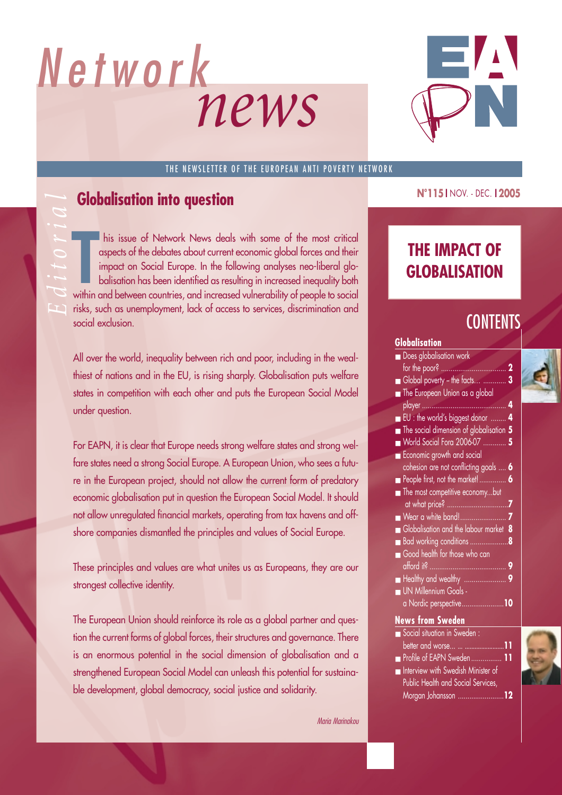

### THE NEWSLETTER OF THE EUROPEAN ANTI POVERTY NETWORK

**Editorial Schools Constant Open Schools Constant of the debates about current impact on Social Europe. In the following within and between countries, and increase** THE IMPACT OF<br>
Impact on Social Europe. In the following analyses neo-liberal glo-<br>
balisation has been identified as resulting in increased inequality both<br>
within and between countries, and increased vulnerability of peo his issue of Network News deals with some of the most critical aspects of the debates about current economic global forces and their impact on Social Europe. In the following analyses neo-liberal globalisation has been identified as resulting in increased inequality both within and between countries, and increased vulnerability of people to social risks, such as unemployment, lack of access to services, discrimination and social exclusion.

All over the world, inequality between rich and poor, including in the wealthiest of nations and in the EU, is rising sharply. Globalisation puts welfare states in competition with each other and puts the European Social Model under question.

For EAPN, it is clear that Europe needs strong welfare states and strong welfare states need a strong Social Europe. A European Union, who sees a future in the European project, should not allow the current form of predatory economic globalisation put in question the European Social Model. It should not allow unregulated financial markets, operating from tax havens and offshore companies dismantled the principles and values of Social Europe.

These principles and values are what unites us as Europeans, they are our strongest collective identity.

The European Union should reinforce its role as a global partner and question the current forms of global forces, their structures and governance. There is an enormous potential in the social dimension of globalisation and a strengthened European Social Model can unleash this potential for sustainable development, global democracy, social justice and solidarity.

*Maria Marinakou*

**N°115 I** NOV. - DEC. **I 2005**

# **CONTENTS**

### **Globalisation**

| $\blacksquare$ Does globalisation work           |             |  |
|--------------------------------------------------|-------------|--|
| for the poor?.                                   | $\mathbf 2$ |  |
| Global poverty - the facts<br>. 3                |             |  |
| The European Union as a global                   |             |  |
| player                                           | 4           |  |
| $\blacksquare$ EU : the world's biggest donor  4 |             |  |
| The social dimension of globalisation 5          |             |  |
| ■ World Social Fora 2006-07  5                   |             |  |
| Economic growth and social                       |             |  |
| cohesion are not conflicting goals  6<br>۹       |             |  |
| People first, not the market!                    | 6           |  |
| The most competitive economybut                  |             |  |
| at what price?.<br>.                             | 7           |  |
| Wear a white band!                               | 7           |  |
| Globalisation and the labour market 8            |             |  |
| Bad working conditions                           | 8           |  |
| Good health for those who can                    |             |  |
| afford it?.<br>.                                 | 9           |  |
|                                                  |             |  |
| UN Millennium Goals -                            |             |  |
| a Nordic perspective10                           |             |  |
| <b>News from Sweden</b>                          |             |  |
| Social situation in Sweden :                     |             |  |
| better and worse                                 |             |  |
| Profile of EAPN Sweden                           |             |  |
| the transfer and the con-                        |             |  |

- Interview with Swedish Minister of Public Health and Social Services, Morgan Johansson ........................**12**
-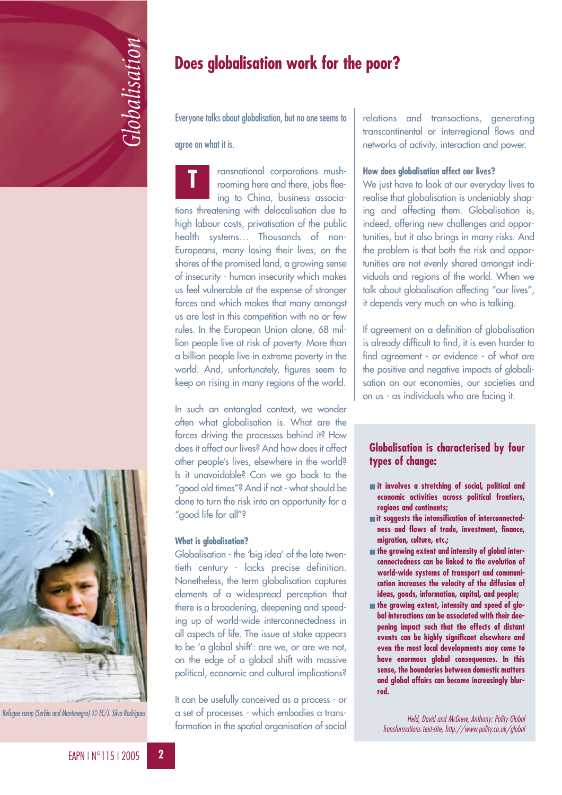

# EAPN I N°115 I 2005 **22**<br>EAPN I N°115 I 2005

*Refugee camp (Serbia and Montenegro) © EC/J. Silva Rodrigues*

# **Does globalisation work for the poor?**

Everyone talks about globalisation, but no one seems to

### agree on what it is.

ransnational corporations mushrooming here and there, jobs fleeing to China, business associations threatening with delocalisation due to high labour costs, privatisation of the public health systems… Thousands of non-Europeans, many losing their lives, on the shores of the promised land, a growing sense of insecurity - human insecurity which makes us feel vulnerable at the expense of stronger forces and which makes that many amongst us are lost in this competition with no or few rules. In the European Union alone, 68 million people live at risk of poverty. More than a billion people live in extreme poverty in the world. And, unfortunately, figures seem to keep on rising in many regions of the world. **T**

In such an entangled context, we wonder often what globalisation is. What are the forces driving the processes behind it? How does it affect our lives? And how does it affect other people's lives, elsewhere in the world? Is it unavoidable? Can we go back to the "good old times"? And if not - what should be done to turn the risk into an opportunity for a "good life for all"?

### **What is globalisation?**

Globalisation - the 'big idea' of the late twentieth century - lacks precise definition. Nonetheless, the term globalisation captures elements of a widespread perception that there is a broadening, deepening and speeding up of world-wide interconnectedness in all aspects of life. The issue at stake appears to be 'a global shift': are we, or are we not, on the edge of a global shift with massive political, economic and cultural implications?

It can be usefully conceived as a process - or a set of processes - which embodies a transformation in the spatial organisation of social

relations and transactions, generating transcontinental or interregional flows and networks of activity, interaction and power.

### **How does globalisation affect our lives?**

We just have to look at our everyday lives to realise that globalisation is undeniably shaping and affecting them. Globalisation is, indeed, offering new challenges and opportunities, but it also brings in many risks. And the problem is that both the risk and opportunities are not evenly shared amongst individuals and regions of the world. When we talk about globalisation affecting "our lives", it depends very much on who is talking.

If agreement on a definition of globalisation is already difficult to find, it is even harder to find agreement - or evidence - of what are the positive and negative impacts of globalisation on our economies, our societies and on us - as individuals who are facing it.

### **Globalisation is characterised by four types of change:**

- **it involves a stretching of social, political and economic activities across political frontiers, regions and continents;**
- **it suggests the intensification of interconnectedness and flows of trade, investment, finance, migration, culture, etc.;**
- **the growing extent and intensity of global interconnectedness can be linked to the evolution of world-wide systems of transport and communication increases the velocity of the diffusion of ideas, goods, information, capital, and people;**
- **the growing extent, intensity and speed of global interactions can be associated with their deepening impact such that the effects of distant events can be highly significant elsewhere and even the most local developments may come to have enormous global consequences. In this sense, the boundaries between domestic matters and global affairs can become increasingly blurred.**

*Held, David and McGrew, Anthony: Polity Global Transformations text-site, http://www.polity.co.uk/global*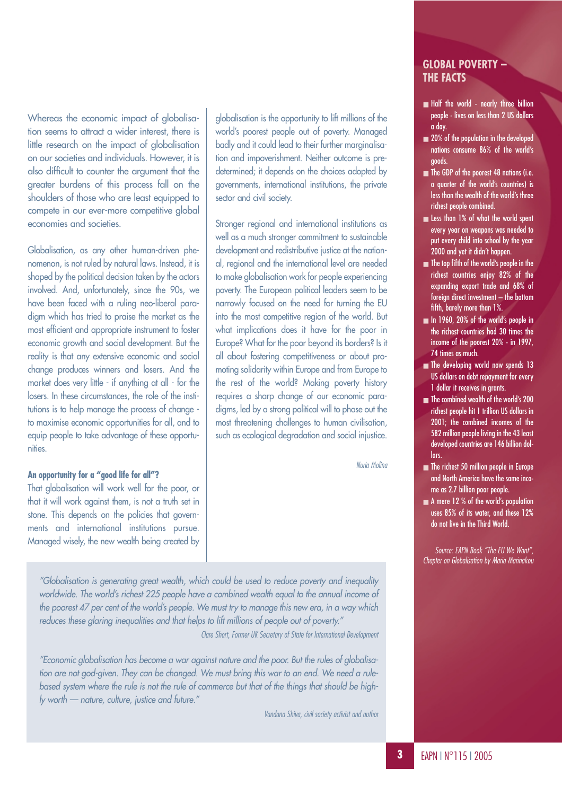Whereas the economic impact of globalisation seems to attract a wider interest, there is little research on the impact of globalisation on our societies and individuals. However, it is also difficult to counter the argument that the greater burdens of this process fall on the shoulders of those who are least equipped to compete in our ever-more competitive global economies and societies.

Globalisation, as any other human-driven phenomenon, is not ruled by natural laws. Instead, it is shaped by the political decision taken by the actors involved. And, unfortunately, since the 90s, we have been faced with a ruling neo-liberal paradigm which has tried to praise the market as the most efficient and appropriate instrument to foster economic growth and social development. But the reality is that any extensive economic and social change produces winners and losers. And the market does very little - if anything at all - for the losers. In these circumstances, the role of the institutions is to help manage the process of change to maximise economic opportunities for all, and to equip people to take advantage of these opportunities.

### **An opportunity for a "good life for all"?**

That globalisation will work well for the poor, or that it will work against them, is not a truth set in stone. This depends on the policies that governments and international institutions pursue. Managed wisely, the new wealth being created by globalisation is the opportunity to lift millions of the world's poorest people out of poverty. Managed badly and it could lead to their further marginalisation and impoverishment. Neither outcome is predetermined; it depends on the choices adopted by governments, international institutions, the private sector and civil society.

Stronger regional and international institutions as well as a much stronger commitment to sustainable development and redistributive justice at the national, regional and the international level are needed to make globalisation work for people experiencing poverty. The European political leaders seem to be narrowly focused on the need for turning the EU into the most competitive region of the world. But what implications does it have for the poor in Europe? What for the poor beyond its borders? Is it all about fostering competitiveness or about promoting solidarity within Europe and from Europe to the rest of the world? Making poverty history requires a sharp change of our economic paradigms, led by a strong political will to phase out the most threatening challenges to human civilisation, such as ecological degradation and social injustice.

*Nuria Molina*

*"Globalisation is generating great wealth, which could be used to reduce poverty and inequality worldwide. The world's richest 225 people have a combined wealth equal to the annual income of the poorest 47 per cent of the world's people. We must try to manage this new era, in a way which reduces these glaring inequalities and that helps to lift millions of people out of poverty."*

*Clare Short, Former UK Secretary of State for International Development*

*"Economic globalisation has become a war against nature and the poor. But the rules of globalisation are not god-given. They can be changed. We must bring this war to an end. We need a rulebased system where the rule is not the rule of commerce but that of the things that should be highly worth — nature, culture, justice and future."*

*Vandana Shiva, civil society activist and author*

### **GLOBAL POVERTY – THE FACTS**

- Half the world nearly three billion people - lives on less than 2 US dollars a day.
- 20% of the population in the developed nations consume 86% of the world's goods.
- The GDP of the poorest 48 nations (i.e. a quarter of the world's countries) is less than the wealth of the world's three richest people combined.
- Less than 1% of what the world spent every year on weapons was needed to put every child into school by the year 2000 and yet it didn't happen.
- The top fifth of the world's people in the richest countries enjoy 82% of the expanding export trade and 68% of foreign direct investment - the bottom fifth, barely more than 1%.
- In 1960, 20% of the world's people in the richest countries had 30 times the income of the poorest 20% - in 1997, 74 times as much.
- The developing world now spends 13 US dollars on debt repayment for every 1 dollar it receives in grants.
- The combined wealth of the world's 200 richest people hit 1 trillion US dollars in 2001; the combined incomes of the 582 million people living in the 43 least developed countries are 146 billion dollars.
- The richest 50 million people in Europe and North America have the same income as 2.7 billion poor people.
- A mere 12 % of the world's population uses 85% of its water, and these 12% do not live in the Third World.

*Source: EAPN Book "The EU We Want", Chapter on Globalisation by Maria Marinakou*

**3**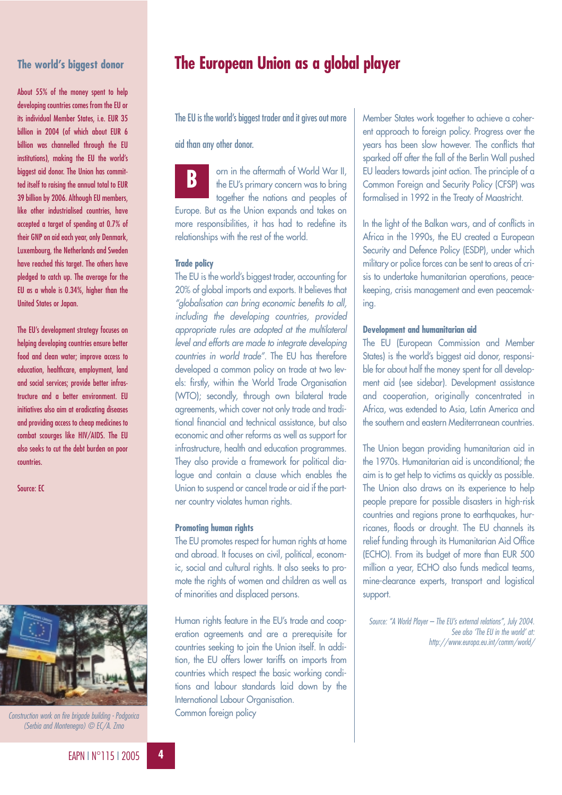# **The world's biggest donor**

About 55% of the money spent to help developing countries comes from the EU or its individual Member States, i.e. EUR 35 billion in 2004 (of which about EUR 6 billion was channelled through the EU institutions), making the EU the world's biggest aid donor. The Union has committed itself to raising the annual total to EUR 39 billion by 2006. Although EU members, like other industrialised countries, have accepted a target of spending at 0.7% of their GNP on aid each year, only Denmark, Luxembourg, the Netherlands and Sweden have reached this target. The others have pledged to catch up. The average for the EU as a whole is 0.34%, higher than the United States or Japan.

The EU's development strategy focuses on helping developing countries ensure better food and clean water; improve access to education, healthcare, employment, land and social services; provide better infrastructure and a better environment. EU initiatives also aim at eradicating diseases and providing access to cheap medicines to combat scourges like HIV/AIDS. The EU also seeks to cut the debt burden on poor countries.

Source: EC



*Construction work on fire brigade building - Podgorica (Serbia and Montenegro) © EC/A. Zrno*

# **The European Union as a global player**

The EU is the world's biggest trader and it gives out more

### aid than any other donor.

orn in the aftermath of World War II, the EU's primary concern was to bring together the nations and peoples of Europe. But as the Union expands and takes on more responsibilities, it has had to redefine its relationships with the rest of the world. **B**

### **Trade policy**

The EU is the world's biggest trader, accounting for 20% of global imports and exports. It believes that *"globalisation can bring economic benefits to all, including the developing countries, provided appropriate rules are adopted at the multilateral level and efforts are made to integrate developing countries in world trade"*. The EU has therefore developed a common policy on trade at two levels: firstly, within the World Trade Organisation (WTO); secondly, through own bilateral trade agreements, which cover not only trade and traditional financial and technical assistance, but also economic and other reforms as well as support for infrastructure, health and education programmes. They also provide a framework for political dialogue and contain a clause which enables the Union to suspend or cancel trade or aid if the partner country violates human rights.

### **Promoting human rights**

The EU promotes respect for human rights at home and abroad. It focuses on civil, political, economic, social and cultural rights. It also seeks to promote the rights of women and children as well as of minorities and displaced persons.

Human rights feature in the EU's trade and cooperation agreements and are a prerequisite for countries seeking to join the Union itself. In addition, the EU offers lower tariffs on imports from countries which respect the basic working conditions and labour standards laid down by the International Labour Organisation. Common foreign policy

Member States work together to achieve a coherent approach to foreign policy. Progress over the years has been slow however. The conflicts that sparked off after the fall of the Berlin Wall pushed EU leaders towards joint action. The principle of a Common Foreign and Security Policy (CFSP) was formalised in 1992 in the Treaty of Maastricht.

In the light of the Balkan wars, and of conflicts in Africa in the 1990s, the EU created a European Security and Defence Policy (ESDP), under which military or police forces can be sent to areas of crisis to undertake humanitarian operations, peacekeeping, crisis management and even peacemaking.

### **Development and humanitarian aid**

The EU (European Commission and Member States) is the world's biggest aid donor, responsible for about half the money spent for all development aid (see sidebar). Development assistance and cooperation, originally concentrated in Africa, was extended to Asia, Latin America and the southern and eastern Mediterranean countries.

The Union began providing humanitarian aid in the 1970s. Humanitarian aid is unconditional; the aim is to get help to victims as quickly as possible. The Union also draws on its experience to help people prepare for possible disasters in high-risk countries and regions prone to earthquakes, hurricanes, floods or drought. The EU channels its relief funding through its Humanitarian Aid Office (ECHO). From its budget of more than EUR 500 million a year, ECHO also funds medical teams, mine-clearance experts, transport and logistical support.

*Source: "A World Player – The EU's external relations", July 2004. See also 'The EU in the world' at: http://www.europa.eu.int/comm/world/*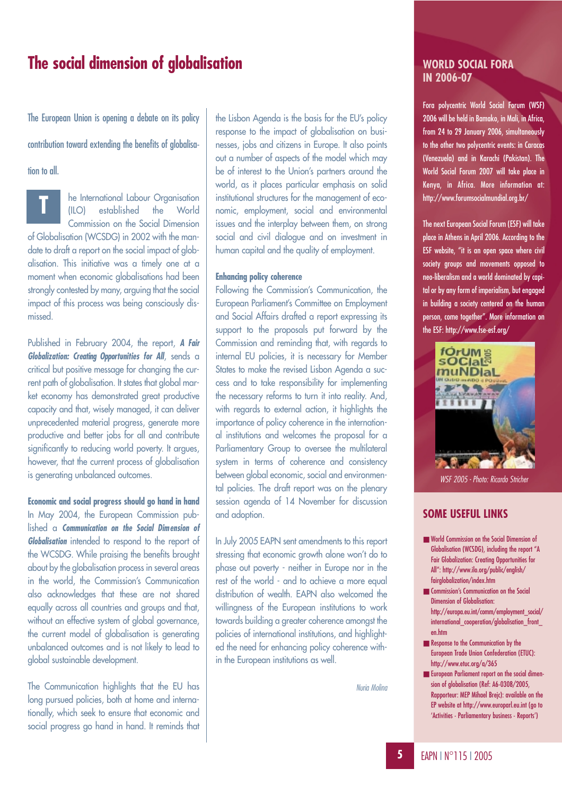# **The social dimension of globalisation**

The European Union is opening a debate on its policy

contribution toward extending the benefits of globalisa-

tion to all.

**T**

he International Labour Organisation (ILO) established the World Commission on the Social Dimension

of Globalisation (WCSDG) in 2002 with the mandate to draft a report on the social impact of globalisation. This initiative was a timely one at a moment when economic globalisations had been strongly contested by many, arguing that the social impact of this process was being consciously dismissed.

Published in February 2004, the report, *A Fair Globalization: Creating Opportunities for All*, sends a critical but positive message for changing the current path of globalisation. It states that global market economy has demonstrated great productive capacity and that, wisely managed, it can deliver unprecedented material progress, generate more productive and better jobs for all and contribute significantly to reducing world poverty. It argues, however, that the current process of globalisation is generating unbalanced outcomes.

**Economic and social progress should go hand in hand** In May 2004, the European Commission published a *Communication on the Social Dimension of Globalisation* intended to respond to the report of the WCSDG. While praising the benefits brought about by the globalisation process in several areas in the world, the Commission's Communication also acknowledges that these are not shared equally across all countries and groups and that, without an effective system of alobal governance, the current model of globalisation is generating unbalanced outcomes and is not likely to lead to global sustainable development.

The Communication highlights that the EU has long pursued policies, both at home and internationally, which seek to ensure that economic and social progress go hand in hand. It reminds that the Lisbon Agenda is the basis for the EU's policy response to the impact of globalisation on businesses, jobs and citizens in Europe. It also points out a number of aspects of the model which may be of interest to the Union's partners around the world, as it places particular emphasis on solid institutional structures for the management of economic, employment, social and environmental issues and the interplay between them, on strong social and civil dialogue and on investment in human capital and the quality of employment.

### **Enhancing policy coherence**

Following the Commission's Communication, the European Parliament's Committee on Employment and Social Affairs drafted a report expressing its support to the proposals put forward by the Commission and reminding that, with regards to internal EU policies, it is necessary for Member States to make the revised Lisbon Agenda a success and to take responsibility for implementing the necessary reforms to turn it into reality. And, with regards to external action, it highlights the importance of policy coherence in the international institutions and welcomes the proposal for a Parliamentary Group to oversee the multilateral system in terms of coherence and consistency between global economic, social and environmental policies. The draft report was on the plenary session agenda of 14 November for discussion and adoption.

In July 2005 EAPN sent amendments to this report stressing that economic growth alone won't do to phase out poverty - neither in Europe nor in the rest of the world - and to achieve a more equal distribution of wealth. EAPN also welcomed the willingness of the European institutions to work towards building a greater coherence amongst the policies of international institutions, and highlighted the need for enhancing policy coherence within the European institutions as well.

*Nuria Molina*

### **WORLD SOCIAL FORA IN 2006-07**

Fora polycentric World Social Forum (WSF) 2006 will be held in Bamako, in Mali, in Africa, from 24 to 29 January 2006, simultaneously to the other two polycentric events: in Caracas (Venezuela) and in Karachi (Pakistan). The World Social Forum 2007 will take place in Kenya, in Africa. More information at: http://www.forumsocialmundial.org.br/

The next European Social Forum (ESF) will take place in Athens in April 2006. According to the ESF website, "it is an open space where civil society groups and movements opposed to neo-liberalism and a world dominated by capital or by any form of imperialism, but engaged in building a society centered on the human person, come together". More information on the ESF: http://www.fse-esf.org/



### *WSF 2005 - Photo: Ricardo Stricher*

### **SOME USEFUL LINKS**

- World Commission on the Social Dimension of Globalisation (WCSDG), including the report "A Fair Globalization: Creating Opportunities for All": http://www.ilo.org/public/english/ fairglobalization/index.htm
- Commission's Communication on the Social Dimension of Globalisation: http://europa.eu.int/comm/employment\_social/ international\_cooperation/globalisation\_front\_ en.htm
- Response to the Communication by the European Trade Union Confederation (ETUC): http://www.etuc.org/a/365
- European Parliament report on the social dimension of globalisation (Ref: A6-0308/2005, Rapporteur: MEP Mihael Brejc): available on the EP website at http://www.europarl.eu.int (go to 'Activities - Parliamentary business - Reports')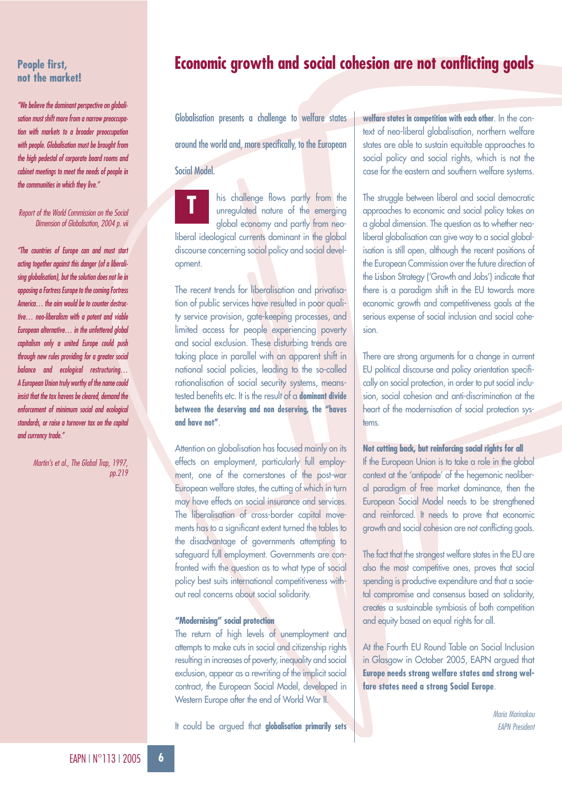### **People first, not the market!**

*"We believe the dominant perspective on globalisation must shift more from a narrow preoccupation with markets to a broader preoccupation with people. Globalisation must be brought from the high pedestal of corporate board rooms and cabinet meetings to meet the needs of people in the communities in which they live."*

### *Report of the World Commission on the Social Dimension of Globalisation, 2004 p. vii*

*"The countries of Europe can and must start acting together against this danger (of a liberalising globalisation), but the solution does not lie in opposing a Fortress Europe to the coming Fortress America… the aim would be to counter destructive… neo-liberalism with a potent and viable European alternative… in the unfettered global capitalism only a united Europe could push through new rules providing for a greater social balance and ecological restructuring… A European Union truly worthy of the name could insist that the tax havens be cleared, demand the enforcement of minimum social and ecological standards, or raise a turnover tax on the capital and currency trade."*

> *Martin's et al., The Global Trap, 1997, pp.219*

# **Economic growth and social cohesion are not conflicting goals**

Globalisation presents a challenge to welfare states around the world and, more specifically, to the European

Social Model.



his challenge flows partly from the unregulated nature of the emerging global economy and partly from neo-

liberal ideological currents dominant in the global discourse concerning social policy and social development.

The recent trends for liberalisation and privatisation of public services have resulted in poor quality service provision, gate-keeping processes, and limited access for people experiencing poverty and social exclusion. These disturbing trends are taking place in parallel with an apparent shift in national social policies, leading to the so-called rationalisation of social security systems, meanstested benefits etc. It is the result of a **dominant divide between the deserving and non deserving, the "haves and have not"**.

Attention on globalisation has focused mainly on its effects on employment, particularly full employment, one of the cornerstones of the post-war European welfare states, the cutting of which in turn may have effects on social insurance and services. The liberalisation of cross-border capital movements has to a significant extent turned the tables to the disadvantage of governments attempting to safeguard full employment. Governments are confronted with the question as to what type of social policy best suits international competitiveness without real concerns about social solidarity.

### **"Modernising" social protection**

The return of high levels of unemployment and attempts to make cuts in social and citizenship rights resulting in increases of poverty, inequality and social exclusion, appear as a rewriting of the implicit social contract, the European Social Model, developed in Western Europe after the end of World War II.

It could be argued that **globalisation primarily sets**

**welfare states in competition with each other**. In the context of neo-liberal globalisation, northern welfare states are able to sustain equitable approaches to social policy and social rights, which is not the case for the eastern and southern welfare systems.

The struggle between liberal and social democratic approaches to economic and social policy takes on a global dimension. The question as to whether neoliberal globalisation can give way to a social globalisation is still open, although the recent positions of the European Commission over the future direction of the Lisbon Strategy ('Growth and Jobs') indicate that there is a paradigm shift in the EU towards more economic growth and competitiveness goals at the serious expense of social inclusion and social cohesion.

There are strong arguments for a change in current EU political discourse and policy orientation specifically on social protection, in order to put social inclusion, social cohesion and anti-discrimination at the heart of the modernisation of social protection systems.

### **Not cutting back, but reinforcing social rights for all**

If the European Union is to take a role in the global context at the 'antipode' of the hegemonic neoliberal paradigm of free market dominance, then the European Social Model needs to be strengthened and reinforced. It needs to prove that economic growth and social cohesion are not conflicting goals.

The fact that the strongest welfare states in the EU are also the most competitive ones, proves that social spending is productive expenditure and that a societal compromise and consensus based on solidarity, creates a sustainable symbiosis of both competition and equity based on equal rights for all.

At the Fourth EU Round Table on Social Inclusion in Glasgow in October 2005, EAPN argued that **Europe needs strong welfare states and strong welfare states need a strong Social Europe**.

> *Maria Marinakou EAPN President*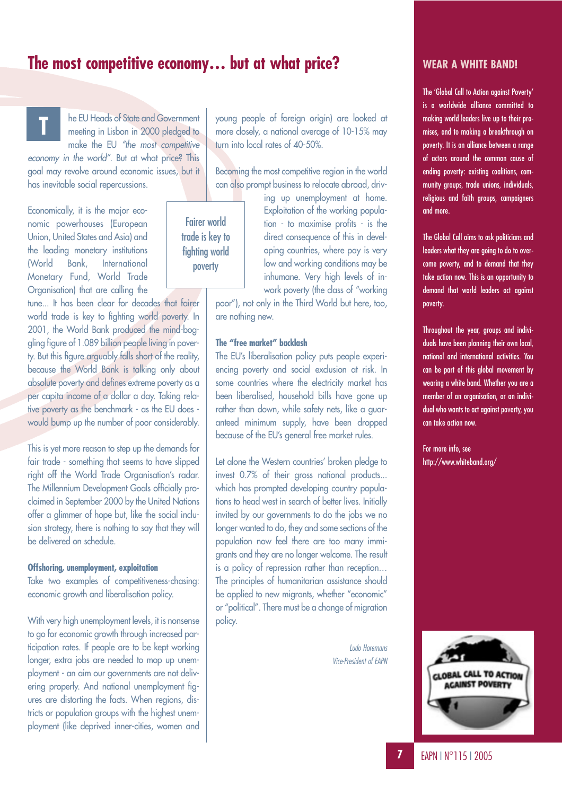# **The most competitive economy… but at what price?**

Fairer world trade is key to fighting world poverty

**T**

he EU Heads of State and Government meeting in Lisbon in 2000 pledged to make the EU *"the most competitive*

*economy in the world"*. But at what price? This goal may revolve around economic issues, but it has inevitable social repercussions.

Economically, it is the major economic powerhouses (European Union, United States and Asia) and the leading monetary institutions (World Bank, International Monetary Fund, World Trade Organisation) that are calling the

tune... It has been clear for decades that fairer world trade is key to fighting world poverty. In 2001, the World Bank produced the mind-boggling figure of 1.089 billion people living in poverty. But this figure arguably falls short of the reality, because the World Bank is talking only about absolute poverty and defines extreme poverty as a per capita income of a dollar a day. Taking relative poverty as the benchmark - as the EU does would bump up the number of poor considerably.

This is yet more reason to step up the demands for fair trade - something that seems to have slipped right off the World Trade Organisation's radar. The Millennium Development Goals officially proclaimed in September 2000 by the United Nations offer a glimmer of hope but, like the social inclusion strategy, there is nothing to say that they will be delivered on schedule.

### **Offshoring, unemployment, exploitation**

Take two examples of competitiveness-chasing: economic growth and liberalisation policy.

With very high unemployment levels, it is nonsense to go for economic growth through increased participation rates. If people are to be kept working longer, extra jobs are needed to mop up unemployment - an aim our governments are not delivering properly. And national unemployment figures are distorting the facts. When regions, districts or population groups with the highest unemployment (like deprived inner-cities, women and young people of foreign origin) are looked at more closely, a national average of 10-15% may turn into local rates of 40-50%.

Becoming the most competitive region in the world can also prompt business to relocate abroad, driv-

> ing up unemployment at home. Exploitation of the working population - to maximise profits - is the direct consequence of this in developing countries, where pay is very low and working conditions may be inhumane. Very high levels of inwork poverty (the class of "working

poor"), not only in the Third World but here, too, are nothing new.

### **The "free market" backlash**

The EU's liberalisation policy puts people experiencing poverty and social exclusion at risk. In some countries where the electricity market has been liberalised, household bills have gone up rather than down, while safety nets, like a guaranteed minimum supply, have been dropped because of the EU's general free market rules.

Let alone the Western countries' broken pledge to invest 0.7% of their gross national products... which has prompted developing country populations to head west in search of better lives. Initially invited by our governments to do the jobs we no longer wanted to do, they and some sections of the population now feel there are too many immigrants and they are no longer welcome. The result is a policy of repression rather than reception… The principles of humanitarian assistance should be applied to new migrants, whether "economic" or "political". There must be a change of migration policy.

> *Ludo Horemans Vice-President of EAPN*

### **WEAR A WHITE BAND!**

The 'Global Call to Action against Poverty' is a worldwide alliance committed to making world leaders live up to their promises, and to making a breakthrough on poverty. It is an alliance between a range of actors around the common cause of ending poverty: existing coalitions, community groups, trade unions, individuals, religious and faith groups, campaigners and more.

The Global Call aims to ask politicians and leaders what they are going to do to overcome poverty, and to demand that they take action now. This is an opportunity to demand that world leaders act against poverty.

Throughout the year, groups and individuals have been planning their own local, national and international activities. You can be part of this global movement by wearing a white band. Whether you are a member of an organisation, or an individual who wants to act against poverty, you can take action now.

For more info, see http://www.whiteband.org/

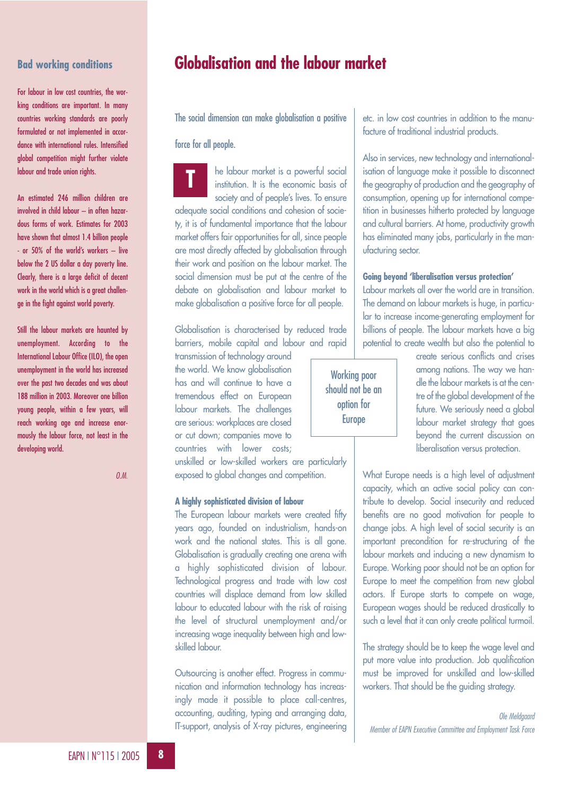# **Bad working conditions**

For labour in low cost countries, the working conditions are important. In many countries working standards are poorly formulated or not implemented in accordance with international rules. Intensified global competition might further violate labour and trade union rights.

An estimated 246 million children are involved in child labour – in often hazardous forms of work. Estimates for 2003 have shown that almost 1.4 billion people - or 50% of the world's workers – live below the 2 US dollar a day poverty line. Clearly, there is a large deficit of decent work in the world which is a great challenge in the fight against world poverty.

Still the labour markets are haunted by unemployment. According to the International Labour Office (ILO), the open unemployment in the world has increased over the past two decades and was about 188 million in 2003. Moreover one billion young people, within a few years, will reach working age and increase enormously the labour force, not least in the developing world.

*O.M.*

# **Globalisation and the labour market**

The social dimension can make globalisation a positive

### force for all people.

he labour market is a powerful social institution. It is the economic basis of society and of people's lives. To ensure adequate social conditions and cohesion of society, it is of fundamental importance that the labour market offers fair opportunities for all, since people are most directly affected by globalisation through their work and position on the labour market. The social dimension must be put at the centre of the debate on globalisation and labour market to make globalisation a positive force for all people. **T**

Globalisation is characterised by reduced trade barriers, mobile capital and labour and rapid

transmission of technology around the world. We know globalisation has and will continue to have a tremendous effect on European labour markets. The challenges are serious: workplaces are closed or cut down; companies move to countries with lower costs;

unskilled or low-skilled workers are particularly exposed to global changes and competition.

### **A highly sophisticated division of labour**

The European labour markets were created fifty years ago, founded on industrialism, hands-on work and the national states. This is all gone. Globalisation is gradually creating one arena with a highly sophisticated division of labour. Technological progress and trade with low cost countries will displace demand from low skilled labour to educated labour with the risk of raising the level of structural unemployment and/or increasing wage inequality between high and lowskilled labour.

Outsourcing is another effect. Progress in communication and information technology has increasingly made it possible to place call-centres, accounting, auditing, typing and arranging data, IT-support, analysis of X-ray pictures, engineering etc. in low cost countries in addition to the manufacture of traditional industrial products.

Also in services, new technology and internationalisation of language make it possible to disconnect the geography of production and the geography of consumption, opening up for international competition in businesses hitherto protected by language and cultural barriers. At home, productivity growth has eliminated many jobs, particularly in the manufacturing sector.

### **Going beyond 'liberalisation versus protection'**

Labour markets all over the world are in transition. The demand on labour markets is huge, in particular to increase income-generating employment for billions of people. The labour markets have a big potential to create wealth but also the potential to

Working poor should not be an option for Europe

create serious conflicts and crises among nations. The way we handle the labour markets is at the centre of the global development of the future. We seriously need a global labour market strategy that goes beyond the current discussion on liberalisation versus protection.

What Europe needs is a high level of adjustment capacity, which an active social policy can contribute to develop. Social insecurity and reduced benefits are no good motivation for people to change jobs. A high level of social security is an important precondition for re-structuring of the labour markets and inducing a new dynamism to Europe. Working poor should not be an option for Europe to meet the competition from new global actors. If Europe starts to compete on wage, European wages should be reduced drastically to such a level that it can only create political turmoil.

The strategy should be to keep the wage level and put more value into production. Job qualification must be improved for unskilled and low-skilled workers. That should be the guiding strategy.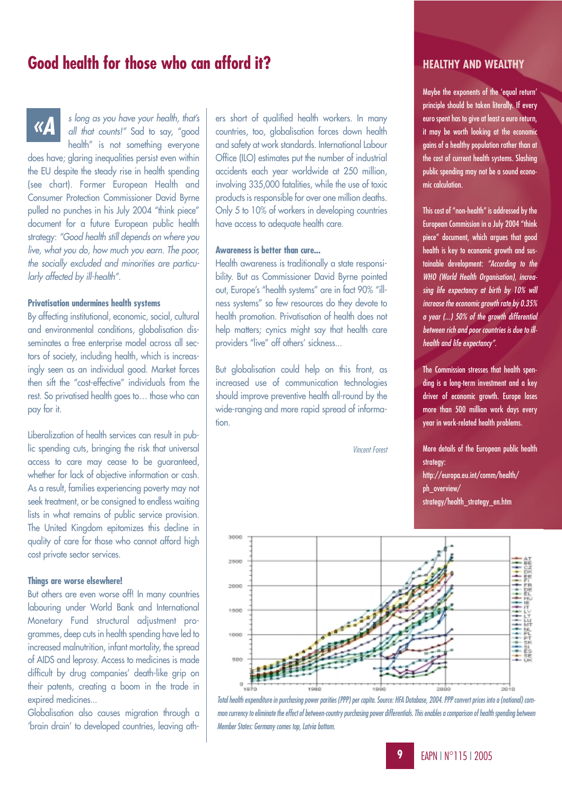# **Good health for those who can afford it?**

*«A*

*s long as you have your health, that's all that counts!"* Sad to say, "good health" is not something everyone

does have; glaring inequalities persist even within the EU despite the steady rise in health spending (see chart). Former European Health and Consumer Protection Commissioner David Byrne pulled no punches in his July 2004 "think piece" document for a future European public health strategy: *"Good health still depends on where you live, what you do, how much you earn. The poor, the socially excluded and minorities are particularly affected by ill-health"*.

### **Privatisation undermines health systems**

By affecting institutional, economic, social, cultural and environmental conditions, globalisation disseminates a free enterprise model across all sectors of society, including health, which is increasingly seen as an individual good. Market forces then sift the "cost-effective" individuals from the rest. So privatised health goes to… those who can pay for it.

Liberalization of health services can result in public spending cuts, bringing the risk that universal access to care may cease to be guaranteed, whether for lack of objective information or cash. As a result, families experiencing poverty may not seek treatment, or be consigned to endless waiting lists in what remains of public service provision. The United Kingdom epitomizes this decline in quality of care for those who cannot afford high cost private sector services.

### **Things are worse elsewhere!**

But others are even worse off! In many countries labouring under World Bank and International Monetary Fund structural adjustment programmes, deep cuts in health spending have led to increased malnutrition, infant mortality, the spread of AIDS and leprosy. Access to medicines is made difficult by drug companies' death-like grip on their patents, creating a boom in the trade in expired medicines...

Globalisation also causes migration through a 'brain drain' to developed countries, leaving others short of qualified health workers. In many countries, too, globalisation forces down health and safety at work standards. International Labour Office (ILO) estimates put the number of industrial accidents each year worldwide at 250 million, involving 335,000 fatalities, while the use of toxic products is responsible for over one million deaths. Only 5 to 10% of workers in developing countries have access to adequate health care.

### **Awareness is better than cure...**

Health awareness is traditionally a state responsibility. But as Commissioner David Byrne pointed out, Europe's "health systems" are in fact 90% "illness systems" so few resources do they devote to health promotion. Privatisation of health does not help matters; cynics might say that health care providers "live" off others' sickness...

But globalisation could help on this front, as increased use of communication technologies should improve preventive health all-round by the wide-ranging and more rapid spread of information.

*Vincent Forest*

### **HEALTHY AND WEALTHY**

Maybe the exponents of the 'equal return' principle should be taken literally. If every euro spent has to give at least a euro return, it may be worth looking at the economic gains of a healthy population rather than at the cost of current health systems. Slashing public spending may not be a sound economic calculation.

This cost of "non-health" is addressed by the European Commission in a July 2004 "think piece" document, which argues that good health is key to economic growth and sustainable development: *"According to the WHO (World Health Organisation), increasing life expectancy at birth by 10% will increase the economic growth rate by 0.35% a year (...) 50% of the growth differential between rich and poor countries is due to illhealth and life expectancy"*.

The Commission stresses that health spending is a long-term investment and a key driver of economic growth. Europe loses more than 500 million work days every year in work-related health problems.

More details of the European public health strategy: http://europa.eu.int/comm/health/ ph\_overview/ strategy/health\_strategy\_en.htm



*Total health expenditure in purchasing power parities (PPP) per capita. Source: HFA Database, 2004. PPP convert prices into a (notional) common currency to eliminate the effect of between-country purchasing power differentials. This enables a comparison of health spending between Member States: Germany comes top, Latvia bottom.*

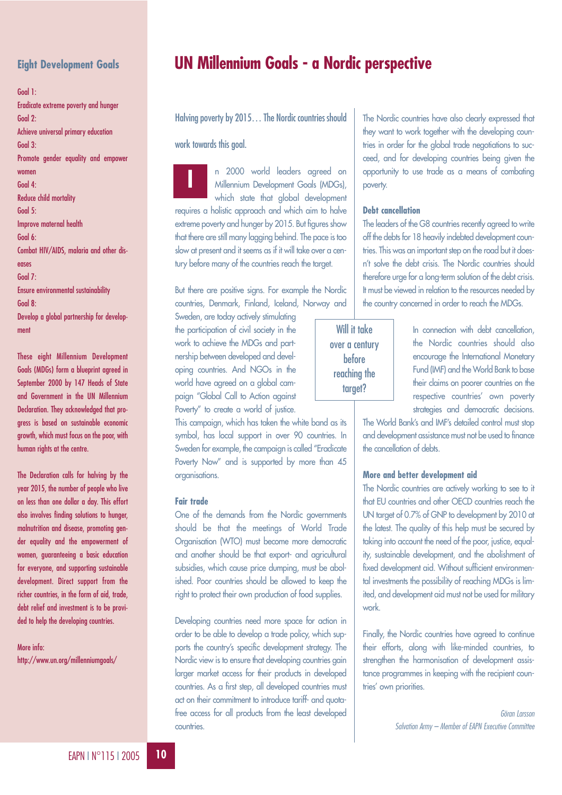# **Eight Development Goals**

Goal 1: Eradicate extreme poverty and hunger Goal 2: Achieve universal primary education Goal 3: Promote gender equality and empower women Goal 4: Reduce child mortality Goal 5: Improve maternal health Goal 6: Combat HIV/AIDS, malaria and other diseases Goal 7: Ensure environmental sustainability Goal 8: Develop a global partnership for development

These eight Millennium Development Goals (MDGs) form a blueprint agreed in September 2000 by 147 Heads of State and Government in the UN Millennium Declaration. They acknowledged that progress is based on sustainable economic growth, which must focus on the poor, with human rights at the centre.

The Declaration calls for halving by the year 2015, the number of people who live on less than one dollar a day. This effort also involves finding solutions to hunger, malnutrition and disease, promoting gender equality and the empowerment of women, guaranteeing a basic education for everyone, and supporting sustainable development. Direct support from the richer countries, in the form of aid, trade, debt relief and investment is to be provided to help the developing countries.

More info: http://www.un.org/millenniumgoals/

# **UN Millennium Goals - a Nordic perspective**

Halving poverty by 2015… The Nordic countries should

work towards this goal.

n 2000 world leaders agreed on Millennium Development Goals (MDGs), which state that global development requires a holistic approach and which aim to halve extreme poverty and hunger by 2015. But figures show that there are still many lagging behind. The pace is too slow at present and it seems as if it will take over a century before many of the countries reach the target. **I**

But there are positive signs. For example the Nordic countries, Denmark, Finland, Iceland, Norway and

Sweden, are today actively stimulating the participation of civil society in the work to achieve the MDGs and partnership between developed and developing countries. And NGOs in the world have agreed on a global campaign "Global Call to Action against Poverty" to create a world of justice.

This campaign, which has taken the white band as its symbol, has local support in over 90 countries. In Sweden for example, the campaign is called "Eradicate Poverty Now" and is supported by more than 45 organisations.

### **Fair trade**

One of the demands from the Nordic governments should be that the meetings of World Trade Organisation (WTO) must become more democratic and another should be that export- and agricultural subsidies, which cause price dumping, must be abolished. Poor countries should be allowed to keep the right to protect their own production of food supplies.

Developing countries need more space for action in order to be able to develop a trade policy, which supports the country's specific development strategy. The Nordic view is to ensure that developing countries gain larger market access for their products in developed countries. As a first step, all developed countries must act on their commitment to introduce tariff- and quotafree access for all products from the least developed countries.

The Nordic countries have also clearly expressed that they want to work together with the developing countries in order for the global trade negotiations to succeed, and for developing countries being given the opportunity to use trade as a means of combating poverty.

### **Debt cancellation**

The leaders of the G8 countries recently agreed to write off the debts for 18 heavily indebted development countries. This was an important step on the road but it doesn't solve the debt crisis. The Nordic countries should therefore urge for a long-term solution of the debt crisis. It must be viewed in relation to the resources needed by the country concerned in order to reach the MDGs.

Will it take over a century before reaching the target?

In connection with debt cancellation, the Nordic countries should also encourage the International Monetary Fund (IMF) and the World Bank to base their claims on poorer countries on the respective countries' own poverty strategies and democratic decisions.

The World Bank's and IMF's detailed control must stop and development assistance must not be used to finance the cancellation of debts.

### **More and better development aid**

The Nordic countries are actively working to see to it that EU countries and other OECD countries reach the UN target of 0.7% of GNP to development by 2010 at the latest. The quality of this help must be secured by taking into account the need of the poor, justice, equality, sustainable development, and the abolishment of fixed development aid. Without sufficient environmental investments the possibility of reaching MDGs is limited, and development aid must not be used for military work.

Finally, the Nordic countries have agreed to continue their efforts, along with like-minded countries, to strenathen the harmonisation of development assistance programmes in keeping with the recipient countries' own priorities.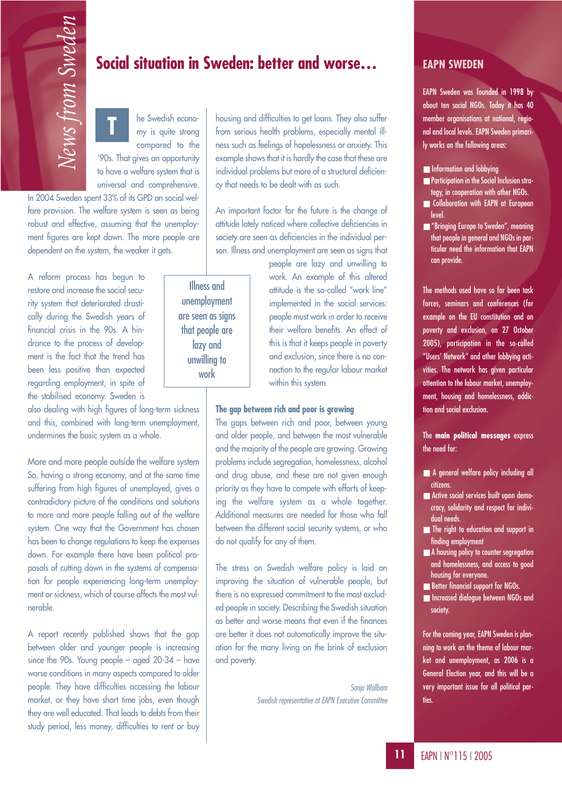he Swedish economy is quite strong compared to the '90s. That gives an opportunity to have a welfare system that is universal and comprehensive. **T**

In 2004 Sweden spent 33% of its GPD on social welfare provision. The welfare system is seen as being robust and effective, assuming that the unemployment figures are kept down. The more people are dependent on the system, the weaker it gets.

A reform process has begun to restore and increase the social security system that deteriorated drastically during the Swedish years of financial crisis in the 90s. A hindrance to the process of development is the fact that the trend has been less positive than expected regarding employment, in spite of the stabilised economy. Sweden is

also dealing with high figures of long-term sickness and this, combined with long-term unemployment, undermines the basic system as a whole.

More and more people outside the welfare system So, having a strong economy, and at the same time suffering from high figures of unemployed, gives a contradictory picture of the conditions and solutions to more and more people falling out of the welfare system. One way that the Government has chosen has been to change regulations to keep the expenses down. For example there have been political proposals of cutting down in the systems of compensation for people experiencing long-term unemployment or sickness, which of course affects the most vulnerable.

A report recently published shows that the gap between older and younger people is increasing since the 90s. Young people – aged 20-34 – have worse conditions in many aspects compared to older people. They have difficulties accessing the labour market, or they have short time jobs, even though they are well educated. That leads to debts from their study period, less money, difficulties to rent or buy

housing and difficulties to get loans. They also suffer from serious health problems, especially mental illness such as feelings of hopelessness or anxiety. This example shows that it is hardly the case that these are individual problems but more of a structural deficiency that needs to be dealt with as such. **Social situation in Sweden: better and worse…**<br> **News Social situation in Sweden: better and worse…**<br>
the Swedish econo-<br>
In the Swedish econo-<br>
In the Swedish econo-<br>
In the Swedish econo-<br>
In the Swedish example shows t

> An important factor for the future is the change of attitude lately noticed where collective deficiencies in society are seen as deficiencies in the individual person. Illness and unemployment are seen as signs that

Illness and unemployment are seen as signs that people are lazy and unwilling to work

people are lazy and unwilling to work. An example of this altered attitude is the so-called "work line" implemented in the social services: people must work in order to receive their welfare benefits. An effect of this is that it keeps people in poverty and exclusion, since there is no connection to the regular labour market within this system.

### **The gap between rich and poor is growing**

The gaps between rich and poor, between young and older people, and between the most vulnerable and the majority of the people are growing. Growing problems include segregation, homelessness, alcohol and drug abuse, and these are not given enough priority as they have to compete with efforts of keeping the welfare system as a whole together. Additional measures are needed for those who fall between the different social security systems, or who do not qualify for any of them.

The stress on Swedish welfare policy is laid on improving the situation of vulnerable people, but there is no expressed commitment to the most excluded people in society. Describing the Swedish situation as better and worse means that even if the finances are better it does not automatically improve the situation for the many living on the brink of exclusion and poverty.

> *Sonja Wallbom Swedish representative at EAPN Executive Committee*

### **EAPN SWEDEN**

EAPN Sweden was founded in 1998 by about ten social NGOs. Today it has 40 member organisations at national, regional and local levels. EAPN Sweden primarily works on the following areas:

- Information and lobbying
- Participation in the Social Inclusion strategy, in cooperation with other NGOs.
- Collaboration with EAPN at European level.
- "Bringing Europe to Sweden", meaning that people in general and NGOs in particular need the information that EAPN can provide.

The methods used have so far been task forces, seminars and conferences (for example on the EU constitution and on poverty and exclusion, on 27 October 2005), participation in the so-called "Users' Network" and other lobbying activities. The network has given particular attention to the labour market, unemployment, housing and homelessness, addiction and social exclusion.

The **main political messages** express the need for:

- A general welfare policy including all citizens.
- Active social services built upon democracy, solidarity and respect for individual needs.
- The right to education and support in finding employment
- A housing policy to counter segregation and homelessness, and access to good housing for everyone.
- Better financial support for NGOs.
- Increased dialogue between NGOs and society.

For the coming year, EAPN Sweden is planning to work on the theme of labour market and unemployment, as 2006 is a General Election year, and this will be a very important issue for all political parties.